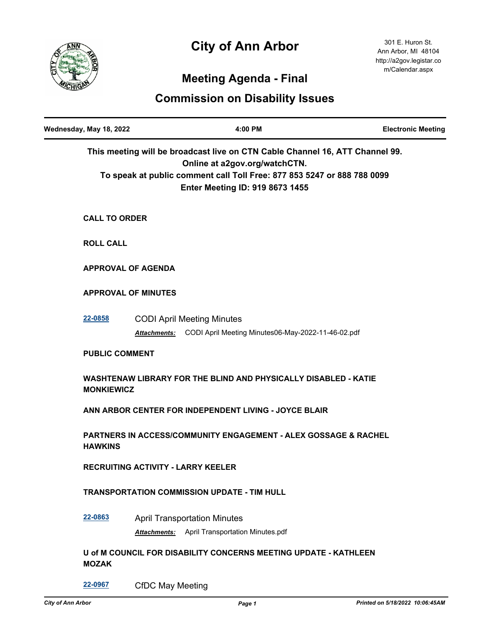# **City of Ann Arbor**



## **Meeting Agenda - Final**

### **Commission on Disability Issues**

| Wednesday, May 18, 2022                                                                                                                                                                                                     | 4:00 PM                                                                                              | <b>Electronic Meeting</b> |
|-----------------------------------------------------------------------------------------------------------------------------------------------------------------------------------------------------------------------------|------------------------------------------------------------------------------------------------------|---------------------------|
| This meeting will be broadcast live on CTN Cable Channel 16, ATT Channel 99.<br>Online at a2gov.org/watchCTN.<br>To speak at public comment call Toll Free: 877 853 5247 or 888 788 0099<br>Enter Meeting ID: 919 8673 1455 |                                                                                                      |                           |
| <b>CALL TO ORDER</b>                                                                                                                                                                                                        |                                                                                                      |                           |
| <b>ROLL CALL</b>                                                                                                                                                                                                            |                                                                                                      |                           |
|                                                                                                                                                                                                                             | <b>APPROVAL OF AGENDA</b>                                                                            |                           |
|                                                                                                                                                                                                                             | <b>APPROVAL OF MINUTES</b>                                                                           |                           |
| 22-0858                                                                                                                                                                                                                     | <b>CODI April Meeting Minutes</b><br>Attachments: CODI April Meeting Minutes06-May-2022-11-46-02.pdf |                           |
| <b>PUBLIC COMMENT</b>                                                                                                                                                                                                       |                                                                                                      |                           |
| <b>MONKIEWICZ</b>                                                                                                                                                                                                           | WASHTENAW LIBRARY FOR THE BLIND AND PHYSICALLY DISABLED - KATIE                                      |                           |
|                                                                                                                                                                                                                             | ANN ARBOR CENTER FOR INDEPENDENT LIVING - JOYCE BLAIR                                                |                           |
| <b>HAWKINS</b>                                                                                                                                                                                                              | <b>PARTNERS IN ACCESS/COMMUNITY ENGAGEMENT - ALEX GOSSAGE &amp; RACHEL</b>                           |                           |
|                                                                                                                                                                                                                             | <b>RECRUITING ACTIVITY - LARRY KEELER</b>                                                            |                           |
|                                                                                                                                                                                                                             | <b>TRANSPORTATION COMMISSION UPDATE - TIM HULL</b>                                                   |                           |
| 22-0863                                                                                                                                                                                                                     | <b>April Transportation Minutes</b><br>April Transportation Minutes.pdf<br>Attachments:              |                           |
| <b>MOZAK</b>                                                                                                                                                                                                                | U of M COUNCIL FOR DISABILITY CONCERNS MEETING UPDATE - KATHLEEN                                     |                           |
| 22-0967                                                                                                                                                                                                                     | <b>CfDC May Meeting</b>                                                                              |                           |